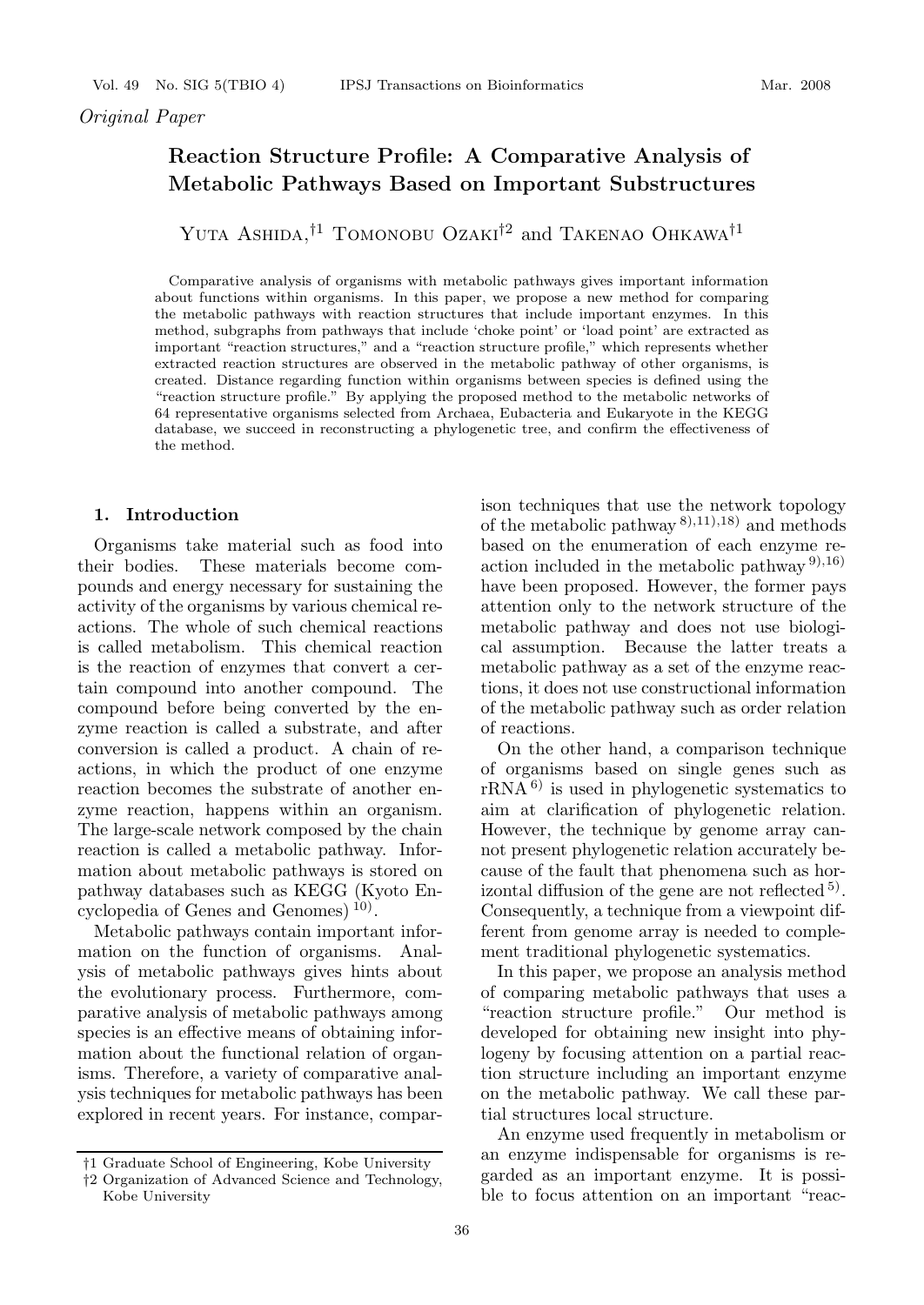# **Reaction Structure Profile: A Comparative Analysis of Metabolic Pathways Based on Important Substructures**

Yuta Ashida,*†*<sup>1</sup> Tomonobu Ozaki*†*<sup>2</sup> and Takenao Ohkawa*†*<sup>1</sup>

Comparative analysis of organisms with metabolic pathways gives important information about functions within organisms. In this paper, we propose a new method for comparing the metabolic pathways with reaction structures that include important enzymes. In this method, subgraphs from pathways that include 'choke point' or 'load point' are extracted as important "reaction structures," and a "reaction structure profile," which represents whether extracted reaction structures are observed in the metabolic pathway of other organisms, is created. Distance regarding function within organisms between species is defined using the "reaction structure profile." By applying the proposed method to the metabolic networks of 64 representative organisms selected from Archaea, Eubacteria and Eukaryote in the KEGG database, we succeed in reconstructing a phylogenetic tree, and confirm the effectiveness of the method.

## **1. Introduction**

Organisms take material such as food into their bodies. These materials become compounds and energy necessary for sustaining the activity of the organisms by various chemical reactions. The whole of such chemical reactions is called metabolism. This chemical reaction is the reaction of enzymes that convert a certain compound into another compound. The compound before being converted by the enzyme reaction is called a substrate, and after conversion is called a product. A chain of reactions, in which the product of one enzyme reaction becomes the substrate of another enzyme reaction, happens within an organism. The large-scale network composed by the chain reaction is called a metabolic pathway. Information about metabolic pathways is stored on pathway databases such as KEGG (Kyoto Encyclopedia of Genes and Genomes)<sup>10</sup>.

Metabolic pathways contain important information on the function of organisms. Analysis of metabolic pathways gives hints about the evolutionary process. Furthermore, comparative analysis of metabolic pathways among species is an effective means of obtaining information about the functional relation of organisms. Therefore, a variety of comparative analysis techniques for metabolic pathways has been explored in recent years. For instance, comparison techniques that use the network topology of the metabolic pathway 8),11),18) and methods based on the enumeration of each enzyme reaction included in the metabolic pathway  $9,16$ ) have been proposed. However, the former pays attention only to the network structure of the metabolic pathway and does not use biological assumption. Because the latter treats a metabolic pathway as a set of the enzyme reactions, it does not use constructional information of the metabolic pathway such as order relation of reactions.

On the other hand, a comparison technique of organisms based on single genes such as  $rRNA<sup>6</sup>$  is used in phylogenetic systematics to aim at clarification of phylogenetic relation. However, the technique by genome array cannot present phylogenetic relation accurately because of the fault that phenomena such as horizontal diffusion of the gene are not reflected  $5$ . Consequently, a technique from a viewpoint different from genome array is needed to complement traditional phylogenetic systematics.

In this paper, we propose an analysis method of comparing metabolic pathways that uses a "reaction structure profile." Our method is developed for obtaining new insight into phylogeny by focusing attention on a partial reaction structure including an important enzyme on the metabolic pathway. We call these partial structures local structure.

An enzyme used frequently in metabolism or an enzyme indispensable for organisms is regarded as an important enzyme. It is possible to focus attention on an important "reac-

*<sup>†</sup>*1 Graduate School of Engineering, Kobe University

*<sup>†</sup>*2 Organization of Advanced Science and Technology, Kobe University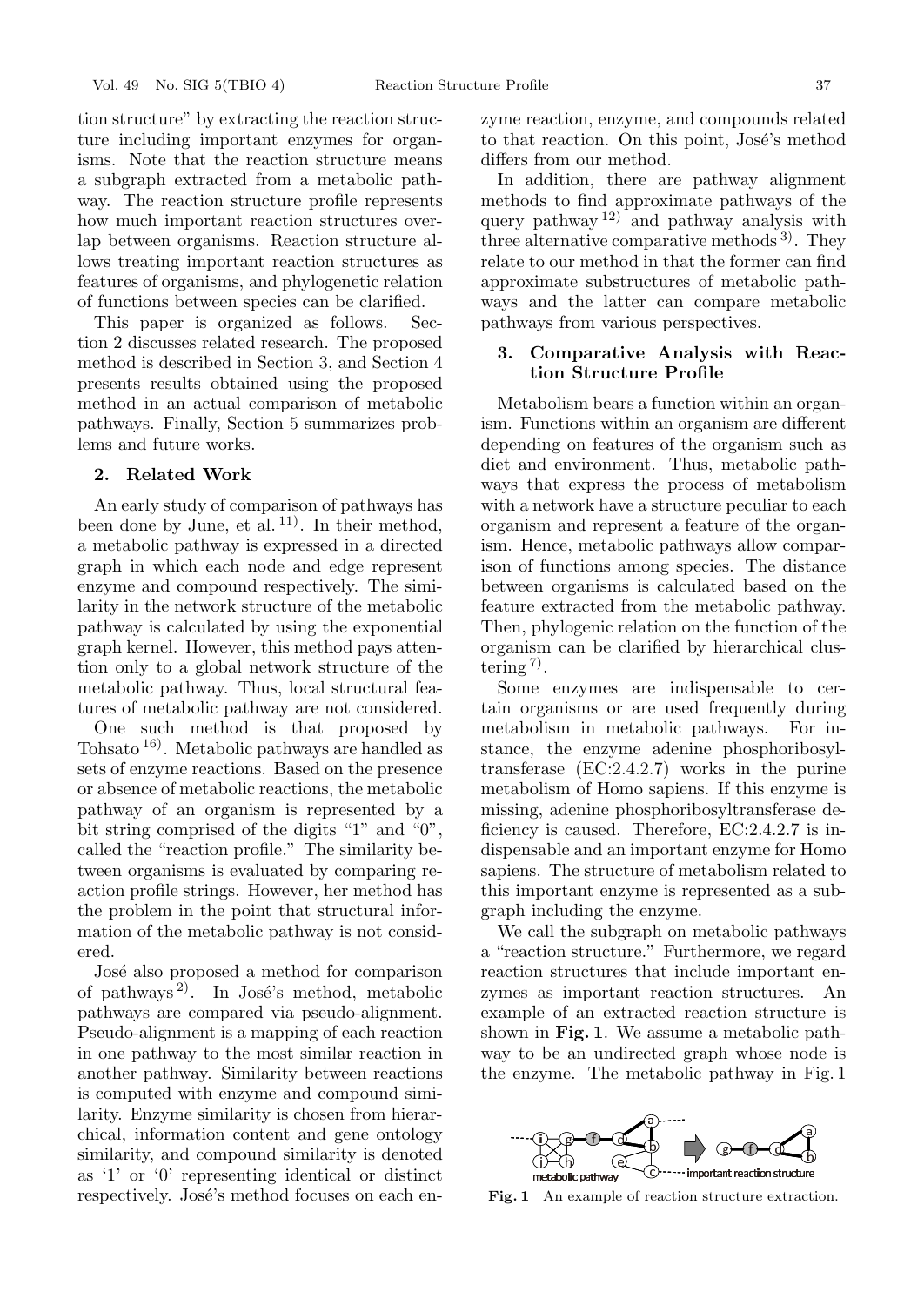tion structure" by extracting the reaction structure including important enzymes for organisms. Note that the reaction structure means a subgraph extracted from a metabolic pathway. The reaction structure profile represents how much important reaction structures overlap between organisms. Reaction structure allows treating important reaction structures as features of organisms, and phylogenetic relation of functions between species can be clarified.

This paper is organized as follows. Section 2 discusses related research. The proposed method is described in Section 3, and Section 4 presents results obtained using the proposed method in an actual comparison of metabolic pathways. Finally, Section 5 summarizes problems and future works.

### **2. Related Work**

An early study of comparison of pathways has been done by June, et al.  $11$ ). In their method, a metabolic pathway is expressed in a directed graph in which each node and edge represent enzyme and compound respectively. The similarity in the network structure of the metabolic pathway is calculated by using the exponential graph kernel. However, this method pays attention only to a global network structure of the metabolic pathway. Thus, local structural features of metabolic pathway are not considered.

One such method is that proposed by Tohsato 16). Metabolic pathways are handled as sets of enzyme reactions. Based on the presence or absence of metabolic reactions, the metabolic pathway of an organism is represented by a bit string comprised of the digits "1" and "0", called the "reaction profile." The similarity between organisms is evaluated by comparing reaction profile strings. However, her method has the problem in the point that structural information of the metabolic pathway is not considered.

José also proposed a method for comparison of pathways<sup>2)</sup>. In José's method, metabolic pathways are compared via pseudo-alignment. Pseudo-alignment is a mapping of each reaction in one pathway to the most similar reaction in another pathway. Similarity between reactions is computed with enzyme and compound similarity. Enzyme similarity is chosen from hierarchical, information content and gene ontology similarity, and compound similarity is denoted as '1' or '0' representing identical or distinct respectively. José's method focuses on each enzyme reaction, enzyme, and compounds related to that reaction. On this point, José's method differs from our method.

In addition, there are pathway alignment methods to find approximate pathways of the query pathway  $12$  and pathway analysis with three alternative comparative methods  $3^{\circ}$ . They relate to our method in that the former can find approximate substructures of metabolic pathways and the latter can compare metabolic pathways from various perspectives.

## **3. Comparative Analysis with Reaction Structure Profile**

Metabolism bears a function within an organism. Functions within an organism are different depending on features of the organism such as diet and environment. Thus, metabolic pathways that express the process of metabolism with a network have a structure peculiar to each organism and represent a feature of the organism. Hence, metabolic pathways allow comparison of functions among species. The distance between organisms is calculated based on the feature extracted from the metabolic pathway. Then, phylogenic relation on the function of the organism can be clarified by hierarchical clustering  $\frac{7}{2}$ .

Some enzymes are indispensable to certain organisms or are used frequently during metabolism in metabolic pathways. For instance, the enzyme adenine phosphoribosyltransferase (EC:2.4.2.7) works in the purine metabolism of Homo sapiens. If this enzyme is missing, adenine phosphoribosyltransferase deficiency is caused. Therefore, EC:2.4.2.7 is indispensable and an important enzyme for Homo sapiens. The structure of metabolism related to this important enzyme is represented as a subgraph including the enzyme.

We call the subgraph on metabolic pathways a "reaction structure." Furthermore, we regard reaction structures that include important enzymes as important reaction structures. An example of an extracted reaction structure is shown in **Fig. 1**. We assume a metabolic pathway to be an undirected graph whose node is the enzyme. The metabolic pathway in Fig. 1



**Fig. 1** An example of reaction structure extraction.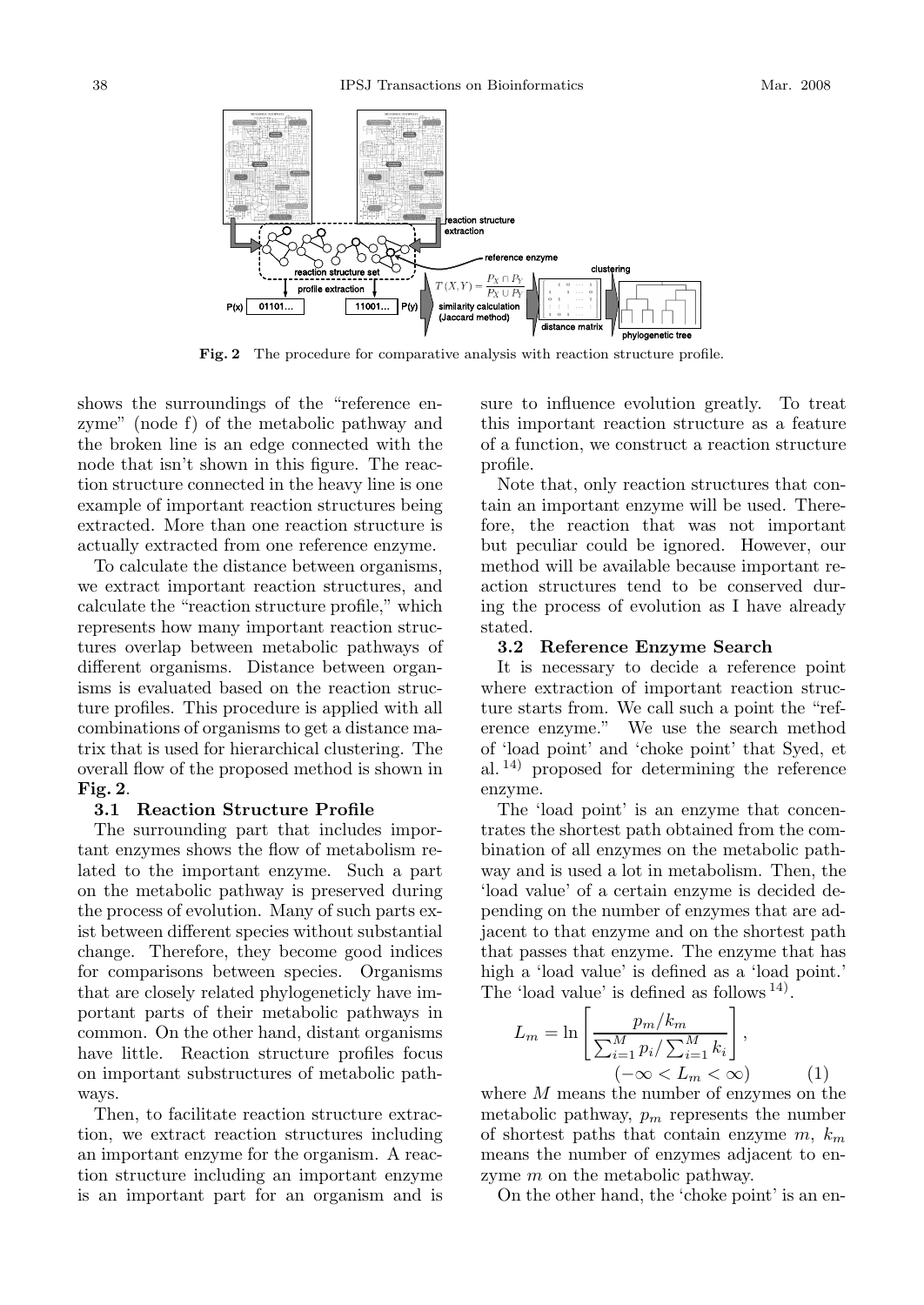

**Fig. 2** The procedure for comparative analysis with reaction structure profile.

shows the surroundings of the "reference enzyme" (node f) of the metabolic pathway and the broken line is an edge connected with the node that isn't shown in this figure. The reaction structure connected in the heavy line is one example of important reaction structures being extracted. More than one reaction structure is actually extracted from one reference enzyme.

To calculate the distance between organisms, we extract important reaction structures, and calculate the "reaction structure profile," which represents how many important reaction structures overlap between metabolic pathways of different organisms. Distance between organisms is evaluated based on the reaction structure profiles. This procedure is applied with all combinations of organisms to get a distance matrix that is used for hierarchical clustering. The overall flow of the proposed method is shown in **Fig. 2**.

#### **3.1 Reaction Structure Profile**

The surrounding part that includes important enzymes shows the flow of metabolism related to the important enzyme. Such a part on the metabolic pathway is preserved during the process of evolution. Many of such parts exist between different species without substantial change. Therefore, they become good indices for comparisons between species. Organisms that are closely related phylogeneticly have important parts of their metabolic pathways in common. On the other hand, distant organisms have little. Reaction structure profiles focus on important substructures of metabolic pathways.

Then, to facilitate reaction structure extraction, we extract reaction structures including an important enzyme for the organism. A reaction structure including an important enzyme is an important part for an organism and is sure to influence evolution greatly. To treat this important reaction structure as a feature of a function, we construct a reaction structure profile.

Note that, only reaction structures that contain an important enzyme will be used. Therefore, the reaction that was not important but peculiar could be ignored. However, our method will be available because important reaction structures tend to be conserved during the process of evolution as I have already stated.

#### **3.2 Reference Enzyme Search**

It is necessary to decide a reference point where extraction of important reaction structure starts from. We call such a point the "ref-<br>erence enzyme." We use the search method We use the search method of 'load point' and 'choke point' that Syed, et al. 14) proposed for determining the reference enzyme.

The 'load point' is an enzyme that concentrates the shortest path obtained from the combination of all enzymes on the metabolic pathway and is used a lot in metabolism. Then, the 'load value' of a certain enzyme is decided depending on the number of enzymes that are adjacent to that enzyme and on the shortest path that passes that enzyme. The enzyme that has high a 'load value' is defined as a 'load point.' The 'load value' is defined as follows <sup>14)</sup>.

$$
L_m = \ln\left[\frac{p_m/k_m}{\sum_{i=1}^M p_i/\sum_{i=1}^M k_i}\right],
$$
  

$$
(-\infty < L_m < \infty)
$$
 (1)

where *M* means the number of enzymes on the metabolic pathway,  $p_m$  represents the number of shortest paths that contain enzyme *m*, *k*<sup>m</sup> means the number of enzymes adjacent to enzyme *m* on the metabolic pathway.

On the other hand, the 'choke point' is an en-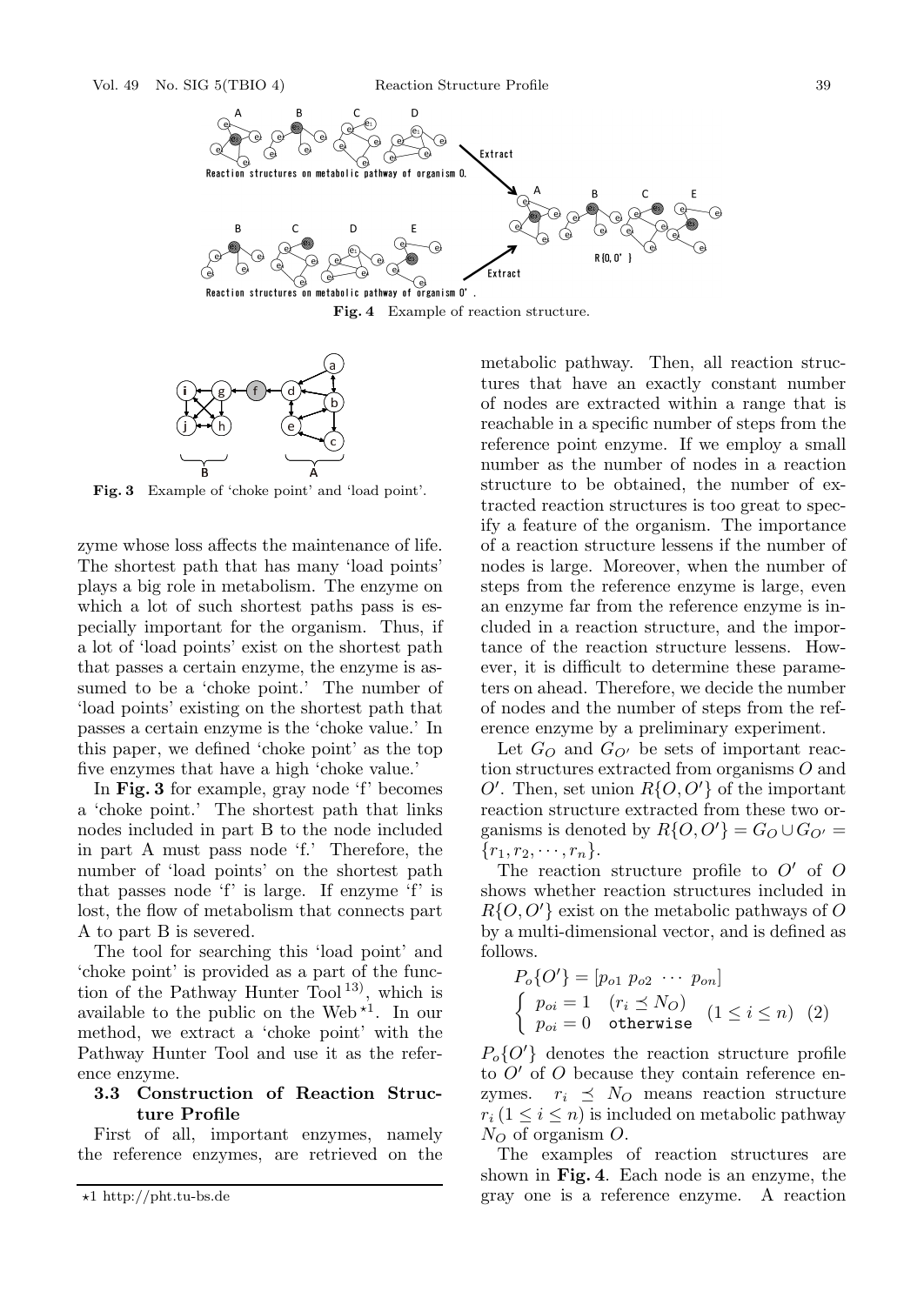



**Fig. 3** Example of 'choke point' and 'load point'.

zyme whose loss affects the maintenance of life. The shortest path that has many 'load points' plays a big role in metabolism. The enzyme on which a lot of such shortest paths pass is especially important for the organism. Thus, if a lot of 'load points' exist on the shortest path that passes a certain enzyme, the enzyme is assumed to be a 'choke point.' The number of 'load points' existing on the shortest path that passes a certain enzyme is the 'choke value.' In this paper, we defined 'choke point' as the top five enzymes that have a high 'choke value.'

In **Fig. 3** for example, gray node 'f' becomes a 'choke point.' The shortest path that links nodes included in part B to the node included in part A must pass node 'f.' Therefore, the number of 'load points' on the shortest path that passes node 'f' is large. If enzyme 'f' is lost, the flow of metabolism that connects part A to part B is severed.

The tool for searching this 'load point' and 'choke point' is provided as a part of the function of the Pathway Hunter Tool<sup>13)</sup>, which is available to the public on the Web<sup> $*1$ </sup>. In our method, we extract a 'choke point' with the Pathway Hunter Tool and use it as the reference enzyme.

## **3.3 Construction of Reaction Structure Profile**

First of all, important enzymes, namely the reference enzymes, are retrieved on the metabolic pathway. Then, all reaction structures that have an exactly constant number of nodes are extracted within a range that is reachable in a specific number of steps from the reference point enzyme. If we employ a small number as the number of nodes in a reaction structure to be obtained, the number of extracted reaction structures is too great to specify a feature of the organism. The importance of a reaction structure lessens if the number of nodes is large. Moreover, when the number of steps from the reference enzyme is large, even an enzyme far from the reference enzyme is included in a reaction structure, and the importance of the reaction structure lessens. However, it is difficult to determine these parameters on ahead. Therefore, we decide the number of nodes and the number of steps from the reference enzyme by a preliminary experiment.

Let  $G_O$  and  $G_{O'}$  be sets of important reaction structures extracted from organisms *O* and  $O'$ . Then, set union  $R\{O, O'\}$  of the important reaction structure extracted from these two organisms is denoted by  $R\{O, O'\} = G_O \cup G_{O'} =$  $\{r_1, r_2, \cdots, r_n\}.$ 

The reaction structure profile to  $O'$  of  $O$ shows whether reaction structures included in *R*{*O, O*- } exist on the metabolic pathways of *O* by a multi-dimensional vector, and is defined as follows.

$$
P_o\{O'\} = [p_{o1} \ p_{o2} \ \cdots \ p_{on}]
$$
  
\n
$$
\begin{cases}\np_{oi} = 1 & (r_i \le N_O) \\
p_{oi} = 0 & \text{otherwise}\n\end{cases} (1 \le i \le n) (2)
$$

 $P_o\{O'\}$  denotes the reaction structure profile to *O*' of *O* because they contain reference enzymes.  $r_i \preceq N_O$  means reaction structure  $r_i (1 \leq i \leq n)$  is included on metabolic pathway  $N_O$  of organism  $O$ .

The examples of reaction structures are shown in **Fig. 4**. Each node is an enzyme, the gray one is a reference enzyme. A reaction

<sup>-</sup>1 http://pht.tu-bs.de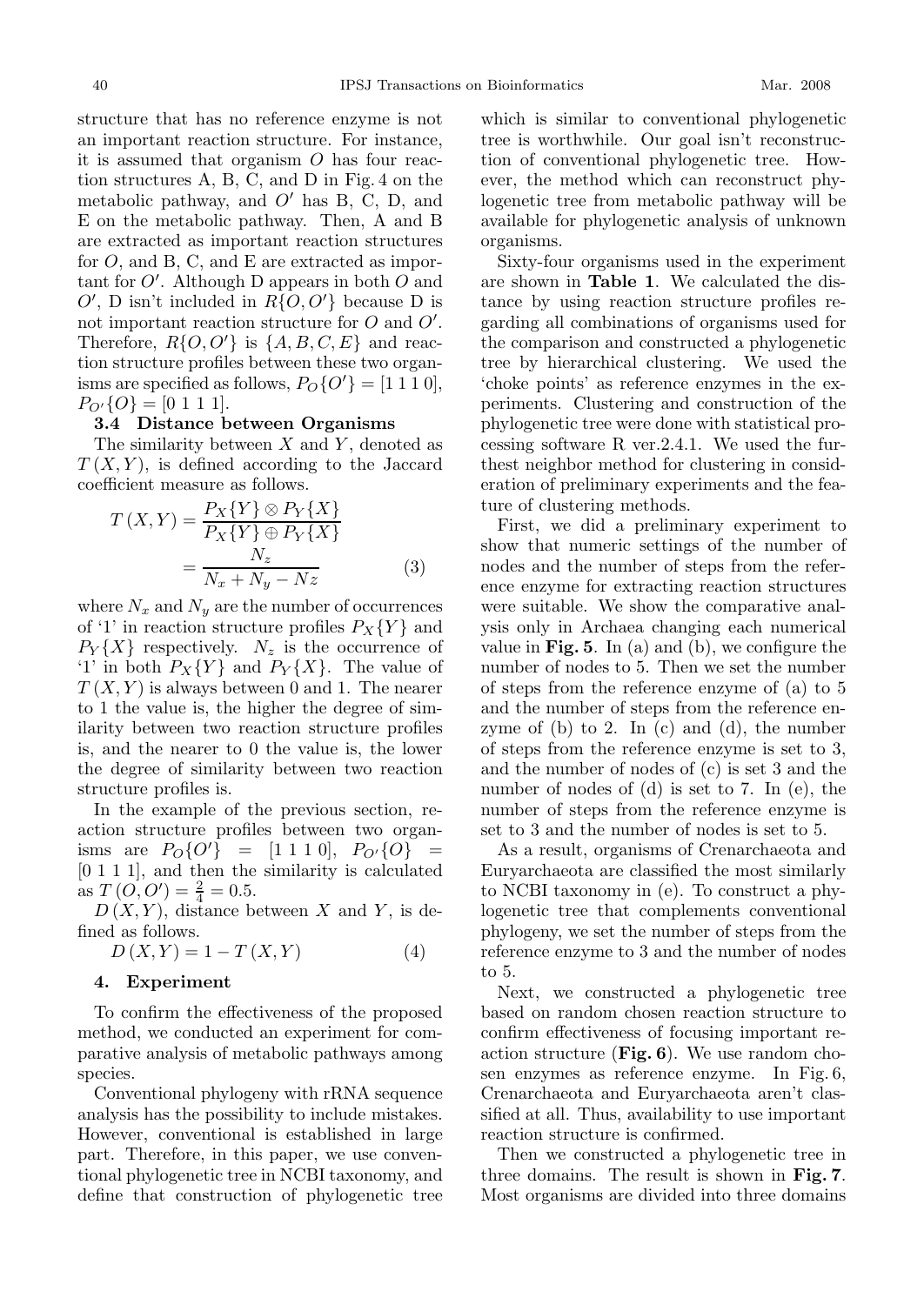structure that has no reference enzyme is not an important reaction structure. For instance, it is assumed that organism *O* has four reaction structures A, B, C, and D in Fig. 4 on the metabolic pathway, and  $O'$  has B, C, D, and E on the metabolic pathway. Then, A and B are extracted as important reaction structures for *O*, and B, C, and E are extracted as important for *O*- . Although D appears in both *O* and  $O'$ , D isn't included in  $R\{O, O'\}$  because D is not important reaction structure for *O* and *O'*. Therefore,  $R\{O,O'\}$  is  $\{A,B,C,E\}$  and reaction structure profiles between these two organisms are specified as follows,  $P_O{O'} = [1 1 1 0],$  $P_{O'}\{O\} = [0 1 1 1].$ 

#### **3.4 Distance between Organisms**

The similarity between *X* and *Y* , denoted as  $T(X, Y)$ , is defined according to the Jaccard coefficient measure as follows.

$$
T(X,Y) = \frac{P_X\{Y\} \otimes P_Y\{X\}}{P_X\{Y\} \oplus P_Y\{X\}}
$$

$$
= \frac{N_z}{N_x + N_y - Nz}
$$
(3)

where  $N_x$  and  $N_y$  are the number of occurrences of '1' in reaction structure profiles  $P_X\{Y\}$  and  $P_Y\{X\}$  respectively.  $N_z$  is the occurrence of '1' in both  $P_X\{Y\}$  and  $P_Y\{X\}$ . The value of  $T(X, Y)$  is always between 0 and 1. The nearer to 1 the value is, the higher the degree of similarity between two reaction structure profiles is, and the nearer to 0 the value is, the lower the degree of similarity between two reaction structure profiles is.

In the example of the previous section, reaction structure profiles between two organ- $\lim_{D \to \infty}$  are  $P_O\{O'\}$  = [1 1 1 0],  $P_{O'}\{O\}$  = [0 1 1 1], and then the similarity is calculated as  $T(0,0') = \frac{2}{4} = 0.5.$ 

 $D(X, Y)$ , distance between *X* and *Y*, is defined as follows.

$$
D(X,Y) = 1 - T(X,Y) \tag{4}
$$

#### **4. Experiment**

To confirm the effectiveness of the proposed method, we conducted an experiment for comparative analysis of metabolic pathways among species.

Conventional phylogeny with rRNA sequence analysis has the possibility to include mistakes. However, conventional is established in large part. Therefore, in this paper, we use conventional phylogenetic tree in NCBI taxonomy, and define that construction of phylogenetic tree which is similar to conventional phylogenetic tree is worthwhile. Our goal isn't reconstruction of conventional phylogenetic tree. However, the method which can reconstruct phylogenetic tree from metabolic pathway will be available for phylogenetic analysis of unknown organisms.

Sixty-four organisms used in the experiment are shown in **Table 1**. We calculated the distance by using reaction structure profiles regarding all combinations of organisms used for the comparison and constructed a phylogenetic tree by hierarchical clustering. We used the 'choke points' as reference enzymes in the experiments. Clustering and construction of the phylogenetic tree were done with statistical processing software R ver.2.4.1. We used the furthest neighbor method for clustering in consideration of preliminary experiments and the feature of clustering methods.

First, we did a preliminary experiment to show that numeric settings of the number of nodes and the number of steps from the reference enzyme for extracting reaction structures were suitable. We show the comparative analysis only in Archaea changing each numerical value in **Fig. 5**. In (a) and (b), we configure the number of nodes to 5. Then we set the number of steps from the reference enzyme of (a) to 5 and the number of steps from the reference enzyme of  $(b)$  to 2. In  $(c)$  and  $(d)$ , the number of steps from the reference enzyme is set to 3, and the number of nodes of (c) is set 3 and the number of nodes of (d) is set to 7. In (e), the number of steps from the reference enzyme is set to 3 and the number of nodes is set to 5.

As a result, organisms of Crenarchaeota and Euryarchaeota are classified the most similarly to NCBI taxonomy in (e). To construct a phylogenetic tree that complements conventional phylogeny, we set the number of steps from the reference enzyme to 3 and the number of nodes to 5.

Next, we constructed a phylogenetic tree based on random chosen reaction structure to confirm effectiveness of focusing important reaction structure (**Fig. 6**). We use random chosen enzymes as reference enzyme. In Fig. 6, Crenarchaeota and Euryarchaeota aren't classified at all. Thus, availability to use important reaction structure is confirmed.

Then we constructed a phylogenetic tree in three domains. The result is shown in **Fig. 7**. Most organisms are divided into three domains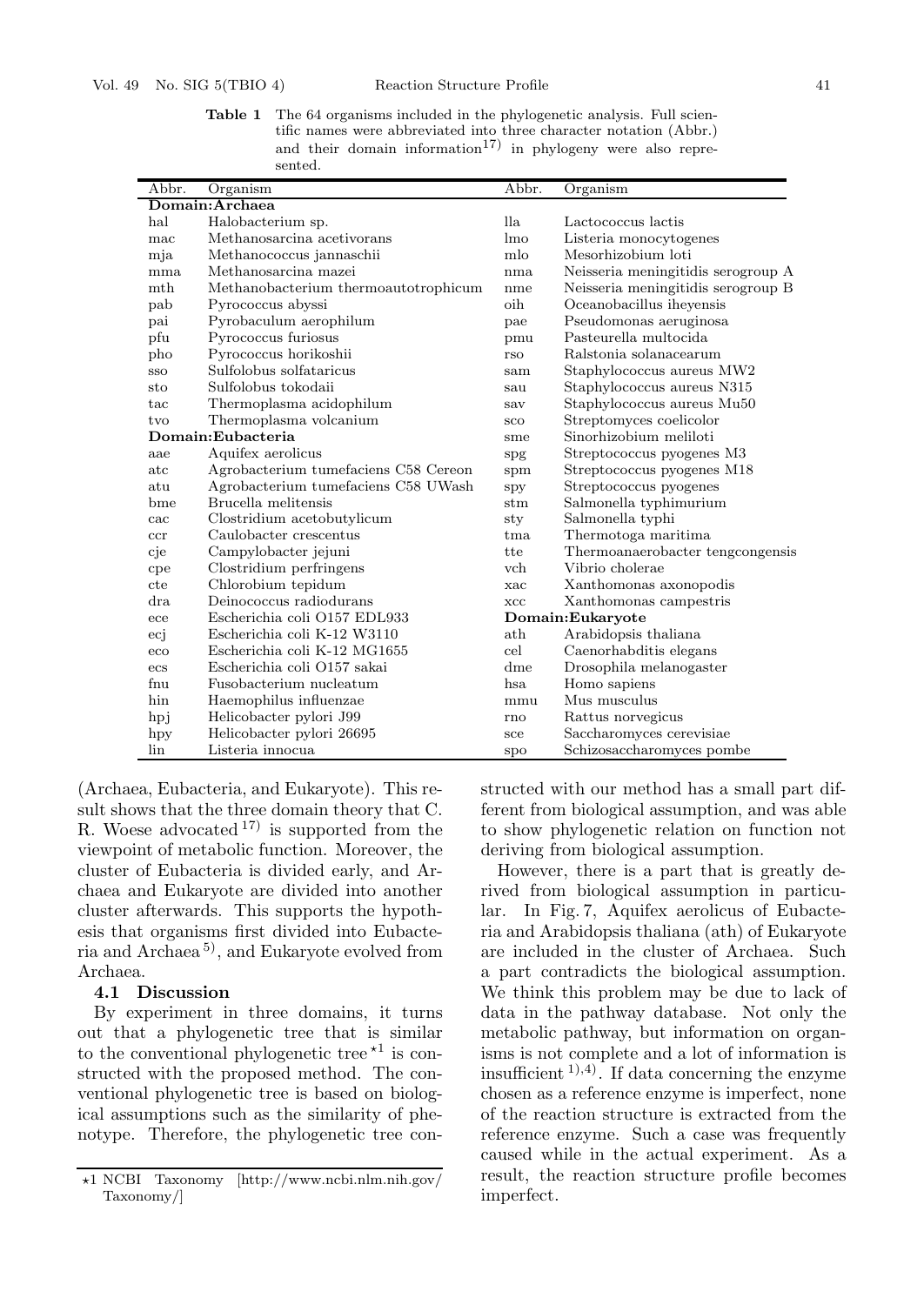**Table 1** The 64 organisms included in the phylogenetic analysis. Full scientific names were abbreviated into three character notation (Abbr.) and their domain information<sup>17)</sup> in phylogeny were also represented.

| Abbr.             | Organism                             | Abbr.           | Organism                           |  |
|-------------------|--------------------------------------|-----------------|------------------------------------|--|
| Domain:Archaea    |                                      |                 |                                    |  |
| hal               | Halobacterium sp.                    | lla.            | Lactococcus lactis                 |  |
| mac               | Methanosarcina acetivorans           | lmo             | Listeria monocytogenes             |  |
| mja               | Methanococcus jannaschii             | mlo             | Mesorhizobium loti                 |  |
| mma               | Methanosarcina mazei                 | nma             | Neisseria meningitidis serogroup A |  |
| mth               | Methanobacterium thermoautotrophicum | nme             | Neisseria meningitidis serogroup B |  |
| pab               | Pyrococcus abyssi                    | oih             | Oceanobacillus iheyensis           |  |
| pai               | Pyrobaculum aerophilum               | pae             | Pseudomonas aeruginosa             |  |
| pfu               | Pyrococcus furiosus                  | pmu             | Pasteurella multocida              |  |
| pho               | Pyrococcus horikoshii                | rso             | Ralstonia solanacearum             |  |
| SSO               | Sulfolobus solfataricus              | sam             | Staphylococcus aureus MW2          |  |
| sto               | Sulfolobus tokodaii                  | sau             | Staphylococcus aureus N315         |  |
| tac               | Thermoplasma acidophilum             | sav             | Staphylococcus aureus Mu50         |  |
| tvo               | Thermoplasma volcanium               | sco             | Streptomyces coelicolor            |  |
| Domain:Eubacteria |                                      | sme             | Sinorhizobium meliloti             |  |
| aae               | Aquifex aerolicus                    | spg             | Streptococcus pyogenes M3          |  |
| atc               | Agrobacterium tumefaciens C58 Cereon | spm             | Streptococcus pyogenes M18         |  |
| atu               | Agrobacterium tumefaciens C58 UWash  | spy             | Streptococcus pyogenes             |  |
| bme               | Brucella melitensis                  | stm             | Salmonella typhimurium             |  |
| cac               | Clostridium acetobutylicum           | sty             | Salmonella typhi                   |  |
| ccr               | Caulobacter crescentus               | $_{\text{tma}}$ | Thermotoga maritima                |  |
| cje               | Campylobacter jejuni                 | tte             | Thermoanaerobacter tengcongensis   |  |
| cpe               | Clostridium perfringens              | vch             | Vibrio cholerae                    |  |
| cte               | Chlorobium tepidum                   | xac             | Xanthomonas axonopodis             |  |
| $_{\rm dra}$      | Deinococcus radiodurans              | XCC             | Xanthomonas campestris             |  |
| ece               | Escherichia coli O157 EDL933         |                 | Domain: Eukaryote                  |  |
| ecj               | Escherichia coli K-12 W3110          | $_{\rm ath}$    | Arabidopsis thaliana               |  |
| eco               | Escherichia coli K-12 MG1655         | cel             | Caenorhabditis elegans             |  |
| ecs               | Escherichia coli O157 sakai          | dme             | Drosophila melanogaster            |  |
| fnu               | Fusobacterium nucleatum              | hsa.            | Homo sapiens                       |  |
| hin               | Haemophilus influenzae               | mmu             | Mus musculus                       |  |
| hpj               | Helicobacter pylori J99              | rno             | Rattus norvegicus                  |  |
| hpy               | Helicobacter pylori 26695            | sce             | Saccharomyces cerevisiae           |  |
| lin               | Listeria innocua                     | spo             | Schizosaccharomyces pombe          |  |

(Archaea, Eubacteria, and Eukaryote). This result shows that the three domain theory that C. R. Woese advocated  $17$  is supported from the viewpoint of metabolic function. Moreover, the cluster of Eubacteria is divided early, and Archaea and Eukaryote are divided into another cluster afterwards. This supports the hypothesis that organisms first divided into Eubacteria and Archaea 5), and Eukaryote evolved from Archaea.

#### **4.1 Discussion**

By experiment in three domains, it turns out that a phylogenetic tree that is similar to the conventional phylogenetic tree  $*1$  is constructed with the proposed method. The conventional phylogenetic tree is based on biological assumptions such as the similarity of phenotype. Therefore, the phylogenetic tree constructed with our method has a small part different from biological assumption, and was able to show phylogenetic relation on function not deriving from biological assumption.

However, there is a part that is greatly derived from biological assumption in particular. In Fig. 7, Aquifex aerolicus of Eubacteria and Arabidopsis thaliana (ath) of Eukaryote are included in the cluster of Archaea. Such a part contradicts the biological assumption. We think this problem may be due to lack of data in the pathway database. Not only the metabolic pathway, but information on organisms is not complete and a lot of information is insufficient  $(1), (4)$ . If data concerning the enzyme chosen as a reference enzyme is imperfect, none of the reaction structure is extracted from the reference enzyme. Such a case was frequently caused while in the actual experiment. As a result, the reaction structure profile becomes imperfect.

<sup>-</sup>1 NCBI Taxonomy [http://www.ncbi.nlm.nih.gov/ Taxonomy/]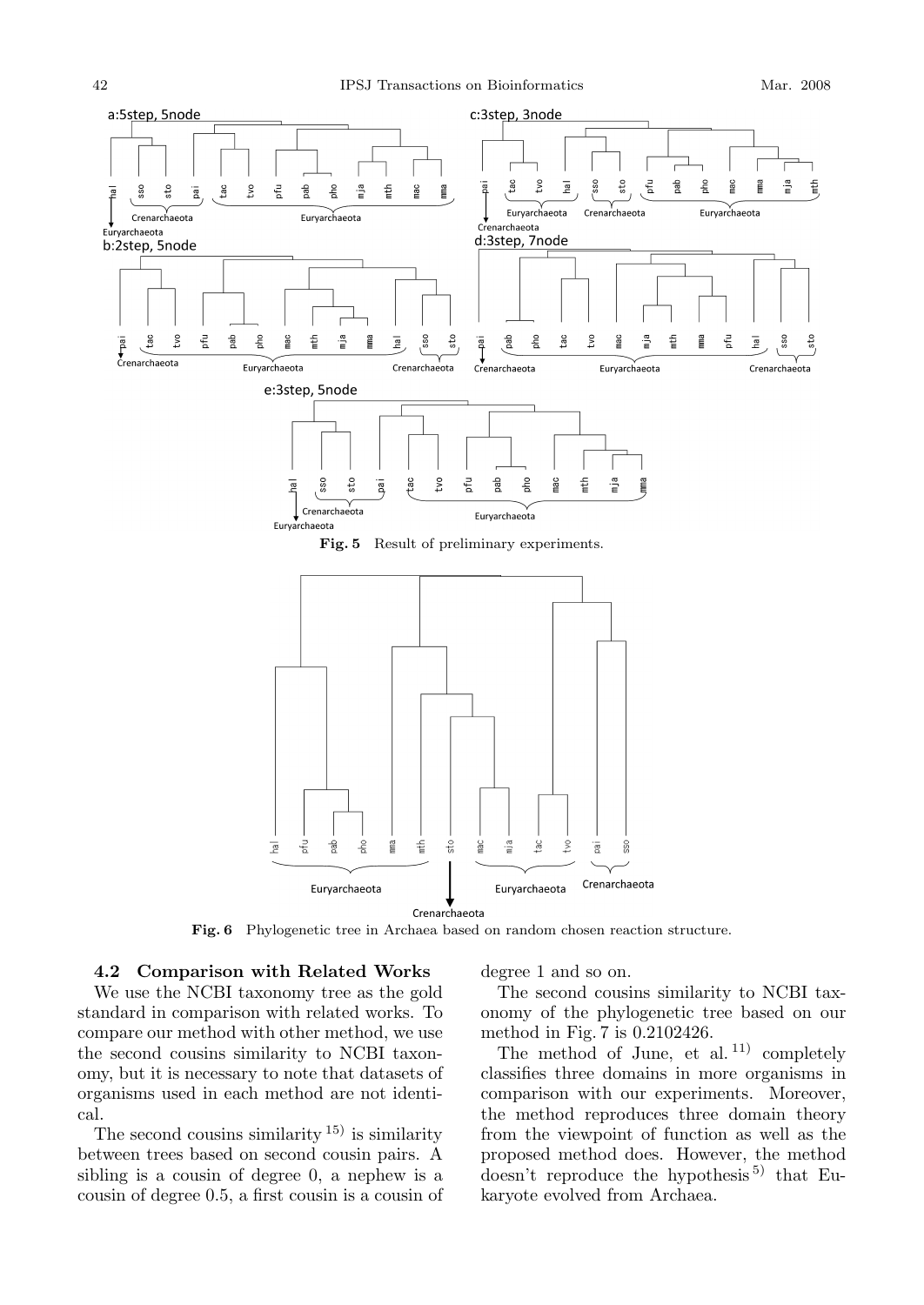

## **4.2 Comparison with Related Works**

We use the NCBI taxonomy tree as the gold standard in comparison with related works. To compare our method with other method, we use the second cousins similarity to NCBI taxonomy, but it is necessary to note that datasets of organisms used in each method are not identical.

The second cousins similarity  $15$  is similarity between trees based on second cousin pairs. A sibling is a cousin of degree 0, a nephew is a cousin of degree 0.5, a first cousin is a cousin of degree 1 and so on.

The second cousins similarity to NCBI taxonomy of the phylogenetic tree based on our method in Fig. 7 is 0*.*2102426.

The method of June, et al.<sup>11)</sup> completely classifies three domains in more organisms in comparison with our experiments. Moreover, the method reproduces three domain theory from the viewpoint of function as well as the proposed method does. However, the method doesn't reproduce the hypothesis<sup>5)</sup> that Eukaryote evolved from Archaea.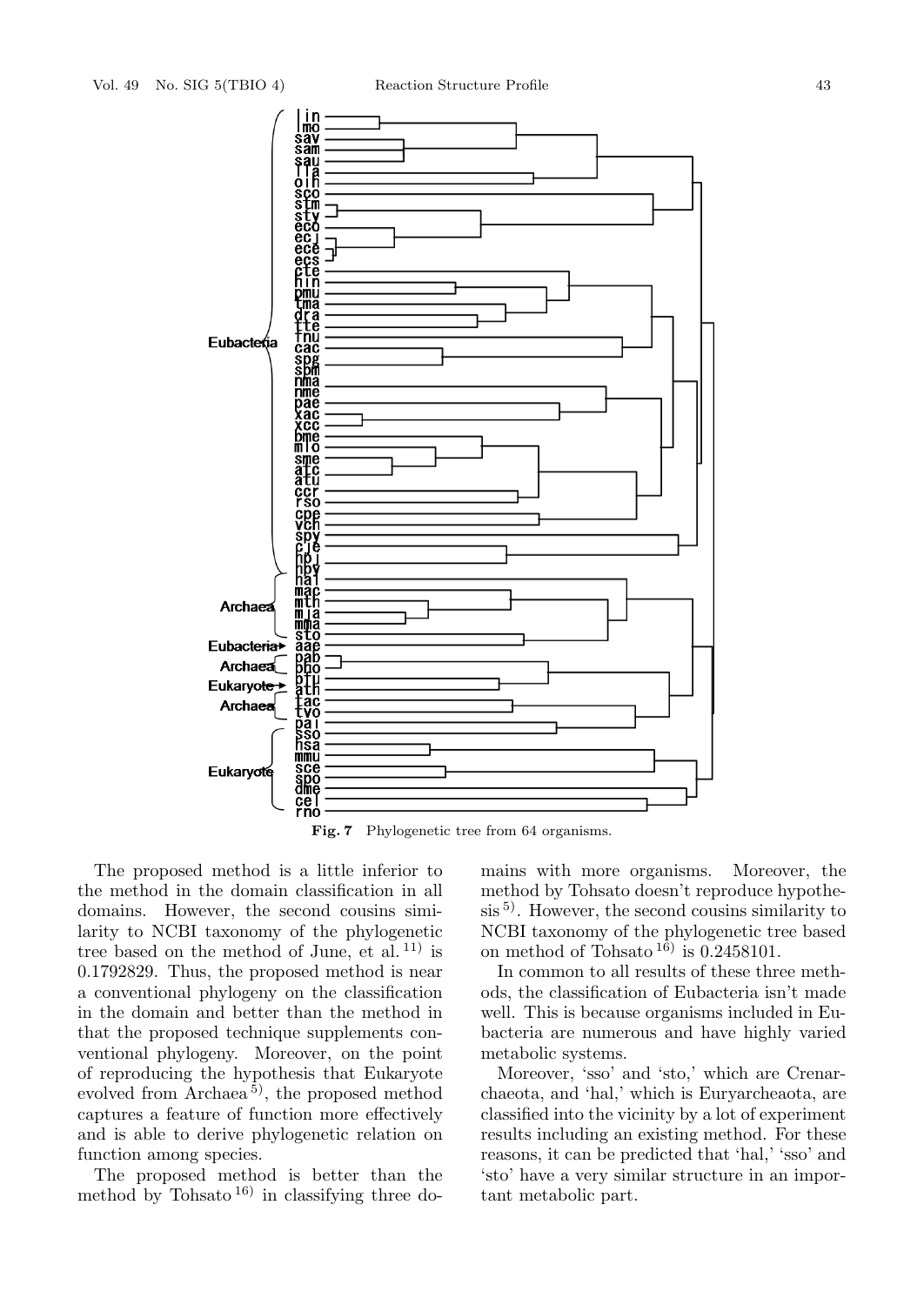

**Fig. 7** Phylogenetic tree from 64 organisms.

The proposed method is a little inferior to the method in the domain classification in all domains. However, the second cousins similarity to NCBI taxonomy of the phylogenetic tree based on the method of June, et al.  $11$ ) is 0*.*1792829. Thus, the proposed method is near a conventional phylogeny on the classification in the domain and better than the method in that the proposed technique supplements conventional phylogeny. Moreover, on the point of reproducing the hypothesis that Eukaryote evolved from Archaea<sup>5)</sup>, the proposed method captures a feature of function more effectively and is able to derive phylogenetic relation on function among species.

The proposed method is better than the method by Tohsato<sup>16)</sup> in classifying three domains with more organisms. Moreover, the method by Tohsato doesn't reproduce hypothe- $\sin^{5}$ . However, the second cousins similarity to NCBI taxonomy of the phylogenetic tree based on method of Tohsato<sup>16</sup>) is  $0.2458101$ .

In common to all results of these three methods, the classification of Eubacteria isn't made well. This is because organisms included in Eubacteria are numerous and have highly varied metabolic systems.

Moreover, 'sso' and 'sto,' which are Crenarchaeota, and 'hal,' which is Euryarcheaota, are classified into the vicinity by a lot of experiment results including an existing method. For these reasons, it can be predicted that 'hal,' 'sso' and 'sto' have a very similar structure in an important metabolic part.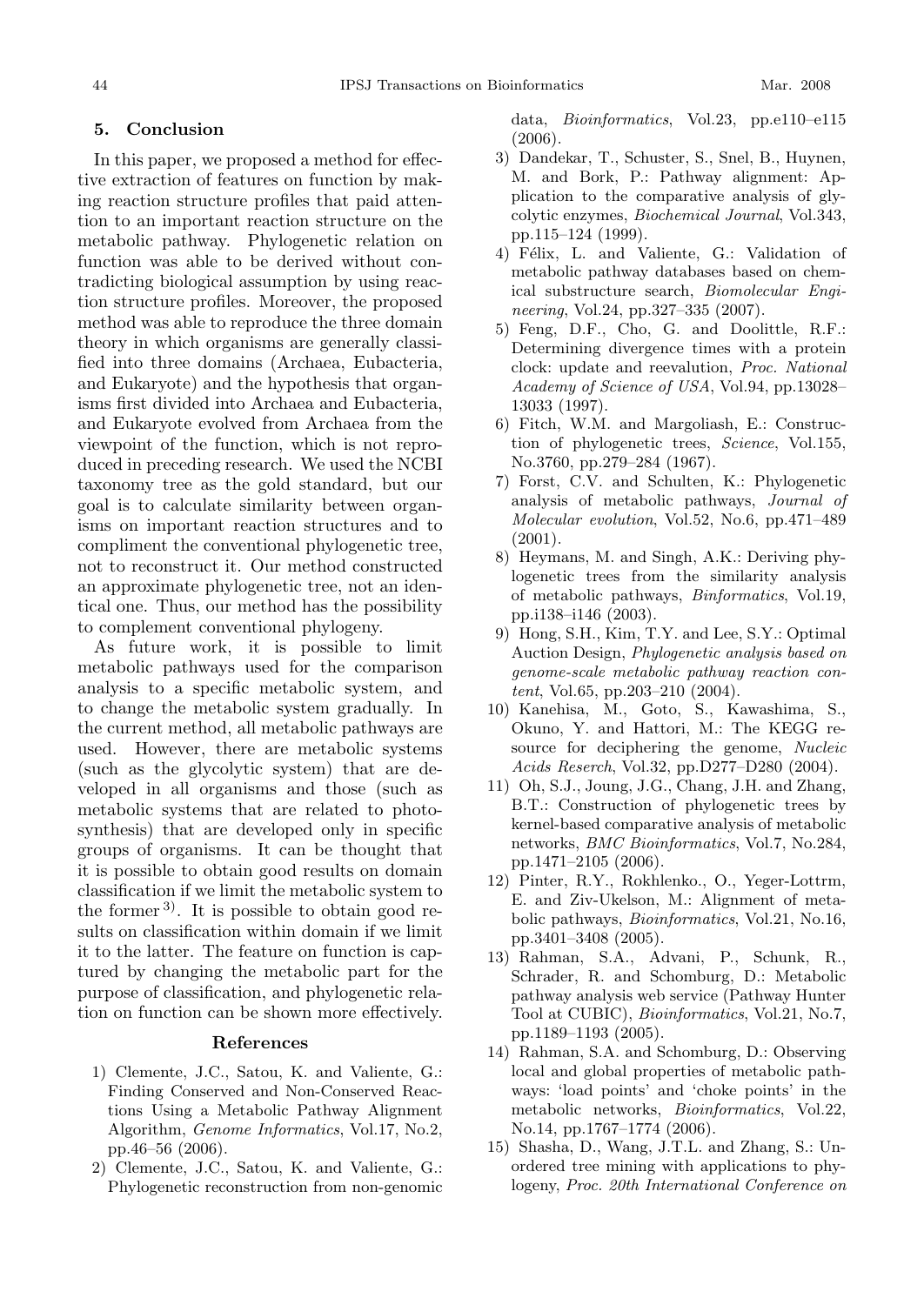#### **5. Conclusion**

In this paper, we proposed a method for effective extraction of features on function by making reaction structure profiles that paid attention to an important reaction structure on the metabolic pathway. Phylogenetic relation on function was able to be derived without contradicting biological assumption by using reaction structure profiles. Moreover, the proposed method was able to reproduce the three domain theory in which organisms are generally classified into three domains (Archaea, Eubacteria, and Eukaryote) and the hypothesis that organisms first divided into Archaea and Eubacteria, and Eukaryote evolved from Archaea from the viewpoint of the function, which is not reproduced in preceding research. We used the NCBI taxonomy tree as the gold standard, but our goal is to calculate similarity between organisms on important reaction structures and to compliment the conventional phylogenetic tree, not to reconstruct it. Our method constructed an approximate phylogenetic tree, not an identical one. Thus, our method has the possibility to complement conventional phylogeny.

As future work, it is possible to limit metabolic pathways used for the comparison analysis to a specific metabolic system, and to change the metabolic system gradually. In the current method, all metabolic pathways are used. However, there are metabolic systems (such as the glycolytic system) that are developed in all organisms and those (such as metabolic systems that are related to photosynthesis) that are developed only in specific groups of organisms. It can be thought that it is possible to obtain good results on domain classification if we limit the metabolic system to the former  $3$ . It is possible to obtain good results on classification within domain if we limit it to the latter. The feature on function is captured by changing the metabolic part for the purpose of classification, and phylogenetic relation on function can be shown more effectively.

#### **References**

- 1) Clemente, J.C., Satou, K. and Valiente, G.: Finding Conserved and Non-Conserved Reactions Using a Metabolic Pathway Alignment Algorithm, *Genome Informatics*, Vol.17, No.2, pp.46–56 (2006).
- 2) Clemente, J.C., Satou, K. and Valiente, G.: Phylogenetic reconstruction from non-genomic

data, *Bioinformatics*, Vol.23, pp.e110–e115 (2006).

- 3) Dandekar, T., Schuster, S., Snel, B., Huynen, M. and Bork, P.: Pathway alignment: Application to the comparative analysis of glycolytic enzymes, *Biochemical Journal*, Vol.343, pp.115–124 (1999).
- 4) Félix, L. and Valiente, G.: Validation of metabolic pathway databases based on chemical substructure search, *Biomolecular Engineering*, Vol.24, pp.327–335 (2007).
- 5) Feng, D.F., Cho, G. and Doolittle, R.F.: Determining divergence times with a protein clock: update and reevalution, *Proc. National Academy of Science of USA*, Vol.94, pp.13028– 13033 (1997).
- 6) Fitch, W.M. and Margoliash, E.: Construction of phylogenetic trees, *Science*, Vol.155, No.3760, pp.279–284 (1967).
- 7) Forst, C.V. and Schulten, K.: Phylogenetic analysis of metabolic pathways, *Journal of Molecular evolution*, Vol.52, No.6, pp.471–489 (2001).
- 8) Heymans, M. and Singh, A.K.: Deriving phylogenetic trees from the similarity analysis of metabolic pathways, *Binformatics*, Vol.19, pp.i138–i146 (2003).
- 9) Hong, S.H., Kim, T.Y. and Lee, S.Y.: Optimal Auction Design, *Phylogenetic analysis based on genome-scale metabolic pathway reaction content*, Vol.65, pp.203–210 (2004).
- 10) Kanehisa, M., Goto, S., Kawashima, S., Okuno, Y. and Hattori, M.: The KEGG resource for deciphering the genome, *Nucleic Acids Reserch*, Vol.32, pp.D277–D280 (2004).
- 11) Oh, S.J., Joung, J.G., Chang, J.H. and Zhang, B.T.: Construction of phylogenetic trees by kernel-based comparative analysis of metabolic networks, *BMC Bioinformatics*, Vol.7, No.284, pp.1471–2105 (2006).
- 12) Pinter, R.Y., Rokhlenko., O., Yeger-Lottrm, E. and Ziv-Ukelson, M.: Alignment of metabolic pathways, *Bioinformatics*, Vol.21, No.16, pp.3401–3408 (2005).
- 13) Rahman, S.A., Advani, P., Schunk, R., Schrader, R. and Schomburg, D.: Metabolic pathway analysis web service (Pathway Hunter Tool at CUBIC), *Bioinformatics*, Vol.21, No.7, pp.1189–1193 (2005).
- 14) Rahman, S.A. and Schomburg, D.: Observing local and global properties of metabolic pathways: 'load points' and 'choke points' in the metabolic networks, *Bioinformatics*, Vol.22, No.14, pp.1767–1774 (2006).
- 15) Shasha, D., Wang, J.T.L. and Zhang, S.: Unordered tree mining with applications to phylogeny, *Proc. 20th International Conference on*